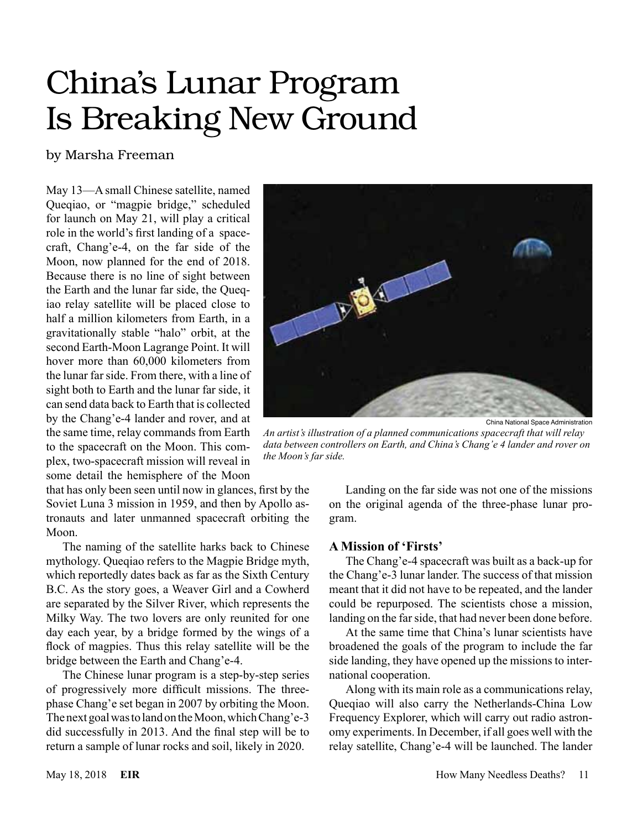# China's Lunar Program Is Breaking New Ground

## by Marsha Freeman

May 13—A small Chinese satellite, named Queqiao, or "magpie bridge," scheduled for launch on May 21, will play a critical role in the world's first landing of a spacecraft, Chang'e-4, on the far side of the Moon, now planned for the end of 2018. Because there is no line of sight between the Earth and the lunar far side, the Queqiao relay satellite will be placed close to half a million kilometers from Earth, in a gravitationally stable "halo" orbit, at the second Earth-Moon Lagrange Point. It will hover more than 60,000 kilometers from the lunar far side. From there, with a line of sight both to Earth and the lunar far side, it can send data back to Earth that is collected by the Chang'e-4 lander and rover, and at the same time, relay commands from Earth to the spacecraft on the Moon. This complex, two-spacecraft mission will reveal in some detail the hemisphere of the Moon

that has only been seen until now in glances, first by the Soviet Luna 3 mission in 1959, and then by Apollo astronauts and later unmanned spacecraft orbiting the Moon.

The naming of the satellite harks back to Chinese mythology. Queqiao refers to the Magpie Bridge myth, which reportedly dates back as far as the Sixth Century B.C. As the story goes, a Weaver Girl and a Cowherd are separated by the Silver River, which represents the Milky Way. The two lovers are only reunited for one day each year, by a bridge formed by the wings of a flock of magpies. Thus this relay satellite will be the bridge between the Earth and Chang'e-4.

The Chinese lunar program is a step-by-step series of progressively more difficult missions. The threephase Chang'e set began in 2007 by orbiting the Moon. The next goal was to land on the Moon, which Chang'e-3 did successfully in 2013. And the final step will be to return a sample of lunar rocks and soil, likely in 2020.



China National Space Administration

*An artist's illustration of a planned communications spacecraft that will relay data between controllers on Earth, and China's Chang'e 4 lander and rover on the Moon's far side.*

Landing on the far side was not one of the missions on the original agenda of the three-phase lunar program.

## **A Mission of 'Firsts'**

The Chang'e-4 spacecraft was built as a back-up for the Chang'e-3 lunar lander. The success of that mission meant that it did not have to be repeated, and the lander could be repurposed. The scientists chose a mission, landing on the far side, that had never been done before.

At the same time that China's lunar scientists have broadened the goals of the program to include the far side landing, they have opened up the missions to international cooperation.

Along with its main role as a communications relay, Queqiao will also carry the Netherlands-China Low Frequency Explorer, which will carry out radio astronomy experiments. In December, if all goes well with the relay satellite, Chang'e-4 will be launched. The lander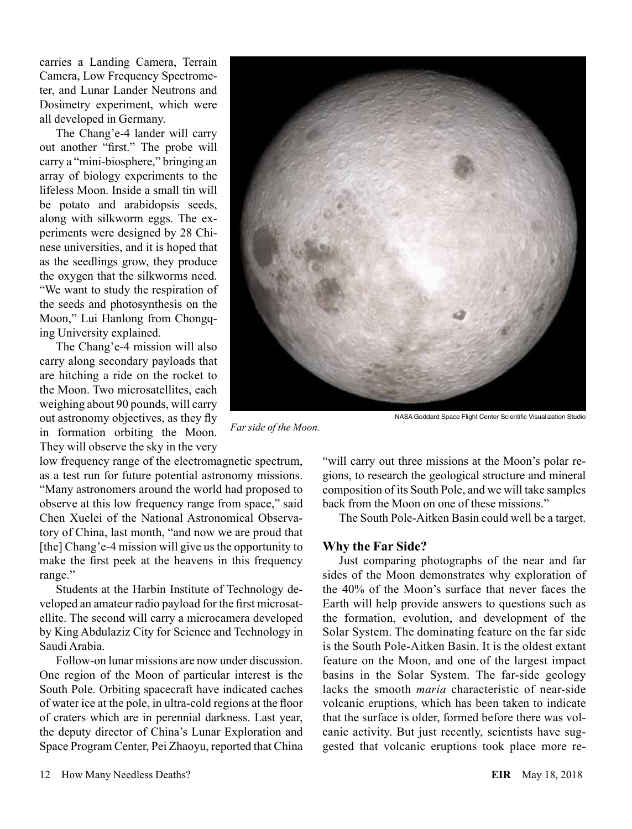carries a Landing Camera, Terrain Camera, Low Frequency Spectrometer, and Lunar Lander Neutrons and Dosimetry experiment, which were all developed in Germany.

The Chang'e-4 lander will carry out another "first." The probe will carry a "mini-biosphere," bringing an array of biology experiments to the lifeless Moon. Inside a small tin will be potato and arabidopsis seeds, along with silkworm eggs. The experiments were designed by 28 Chinese universities, and it is hoped that as the seedlings grow, they produce the oxygen that the silkworms need. "We want to study the respiration of the seeds and photosynthesis on the Moon," Lui Hanlong from Chongqing University explained.

The Chang'e-4 mission will also carry along secondary payloads that are hitching a ride on the rocket to the Moon. Two microsatellites, each weighing about 90 pounds, will carry out astronomy objectives, as they fly in formation orbiting the Moon. They will observe the sky in the very

low frequency range of the electromagnetic spectrum, as a test run for future potential astronomy missions. "Many astronomers around the world had proposed to observe at this low frequency range from space," said Chen Xuelei of the National Astronomical Observatory of China, last month, "and now we are proud that [the] Chang'e-4 mission will give us the opportunity to make the first peek at the heavens in this frequency range."

*Far side of the Moon.*

Students at the Harbin Institute of Technology developed an amateur radio payload for the first microsatellite. The second will carry a microcamera developed by King Abdulaziz City for Science and Technology in Saudi Arabia.

Follow-on lunar missions are now under discussion. One region of the Moon of particular interest is the South Pole. Orbiting spacecraft have indicated caches of water ice at the pole, in ultra-cold regions at the floor of craters which are in perennial darkness. Last year, the deputy director of China's Lunar Exploration and Space Program Center, Pei Zhaoyu, reported that China



NASA Goddard Space Flight Center Scientific Visualization Studio

"will carry out three missions at the Moon's polar regions, to research the geological structure and mineral composition of its South Pole, and we will take samples

back from the Moon on one of these missions."

The South Pole-Aitken Basin could well be a target.

## **Why the Far Side?**

Just comparing photographs of the near and far sides of the Moon demonstrates why exploration of the 40% of the Moon's surface that never faces the Earth will help provide answers to questions such as the formation, evolution, and development of the Solar System. The dominating feature on the far side is the South Pole-Aitken Basin. It is the oldest extant feature on the Moon, and one of the largest impact basins in the Solar System. The far-side geology lacks the smooth *maria* characteristic of near-side volcanic eruptions, which has been taken to indicate that the surface is older, formed before there was volcanic activity. But just recently, scientists have suggested that volcanic eruptions took place more re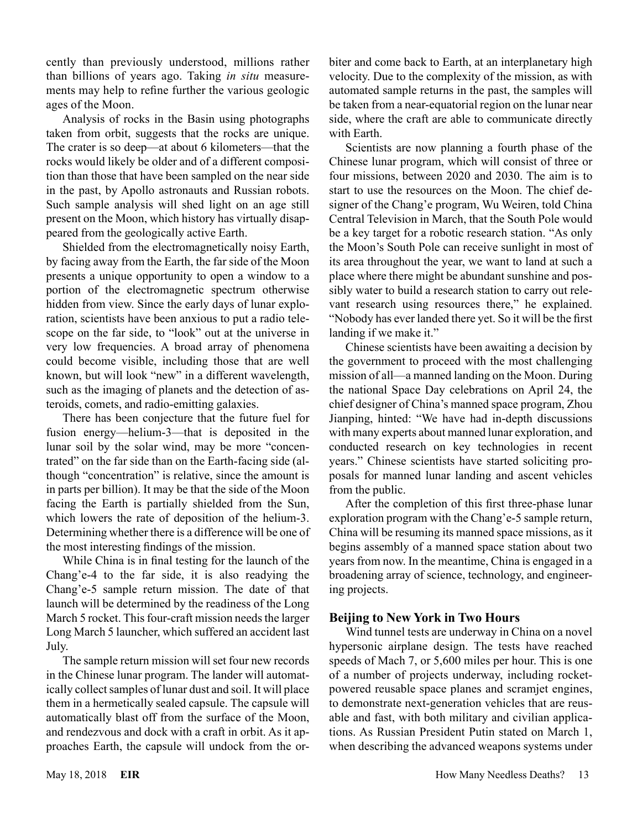cently than previously understood, millions rather than billions of years ago. Taking *in situ* measurements may help to refine further the various geologic ages of the Moon.

Analysis of rocks in the Basin using photographs taken from orbit, suggests that the rocks are unique. The crater is so deep—at about 6 kilometers—that the rocks would likely be older and of a different composition than those that have been sampled on the near side in the past, by Apollo astronauts and Russian robots. Such sample analysis will shed light on an age still present on the Moon, which history has virtually disappeared from the geologically active Earth.

Shielded from the electromagnetically noisy Earth, by facing away from the Earth, the far side of the Moon presents a unique opportunity to open a window to a portion of the electromagnetic spectrum otherwise hidden from view. Since the early days of lunar exploration, scientists have been anxious to put a radio telescope on the far side, to "look" out at the universe in very low frequencies. A broad array of phenomena could become visible, including those that are well known, but will look "new" in a different wavelength, such as the imaging of planets and the detection of asteroids, comets, and radio-emitting galaxies.

There has been conjecture that the future fuel for fusion energy—helium-3—that is deposited in the lunar soil by the solar wind, may be more "concentrated" on the far side than on the Earth-facing side (although "concentration" is relative, since the amount is in parts per billion). It may be that the side of the Moon facing the Earth is partially shielded from the Sun, which lowers the rate of deposition of the helium-3. Determining whether there is a difference will be one of the most interesting findings of the mission.

While China is in final testing for the launch of the Chang'e-4 to the far side, it is also readying the Chang'e-5 sample return mission. The date of that launch will be determined by the readiness of the Long March 5 rocket. This four-craft mission needs the larger Long March 5 launcher, which suffered an accident last July.

The sample return mission will set four new records in the Chinese lunar program. The lander will automatically collect samples of lunar dust and soil. It will place them in a hermetically sealed capsule. The capsule will automatically blast off from the surface of the Moon, and rendezvous and dock with a craft in orbit. As it approaches Earth, the capsule will undock from the orbiter and come back to Earth, at an interplanetary high velocity. Due to the complexity of the mission, as with automated sample returns in the past, the samples will be taken from a near-equatorial region on the lunar near side, where the craft are able to communicate directly with Earth.

Scientists are now planning a fourth phase of the Chinese lunar program, which will consist of three or four missions, between 2020 and 2030. The aim is to start to use the resources on the Moon. The chief designer of the Chang'e program, Wu Weiren, told China Central Television in March, that the South Pole would be a key target for a robotic research station. "As only the Moon's South Pole can receive sunlight in most of its area throughout the year, we want to land at such a place where there might be abundant sunshine and possibly water to build a research station to carry out relevant research using resources there," he explained. "Nobody has ever landed there yet. So it will be the first landing if we make it."

Chinese scientists have been awaiting a decision by the government to proceed with the most challenging mission of all—a manned landing on the Moon. During the national Space Day celebrations on April 24, the chief designer of China's manned space program, Zhou Jianping, hinted: "We have had in-depth discussions with many experts about manned lunar exploration, and conducted research on key technologies in recent years." Chinese scientists have started soliciting proposals for manned lunar landing and ascent vehicles from the public.

After the completion of this first three-phase lunar exploration program with the Chang'e-5 sample return, China will be resuming its manned space missions, as it begins assembly of a manned space station about two years from now. In the meantime, China is engaged in a broadening array of science, technology, and engineering projects.

## **Beijing to New York in Two Hours**

Wind tunnel tests are underway in China on a novel hypersonic airplane design. The tests have reached speeds of Mach 7, or 5,600 miles per hour. This is one of a number of projects underway, including rocketpowered reusable space planes and scramjet engines, to demonstrate next-generation vehicles that are reusable and fast, with both military and civilian applications. As Russian President Putin stated on March 1, when describing the advanced weapons systems under